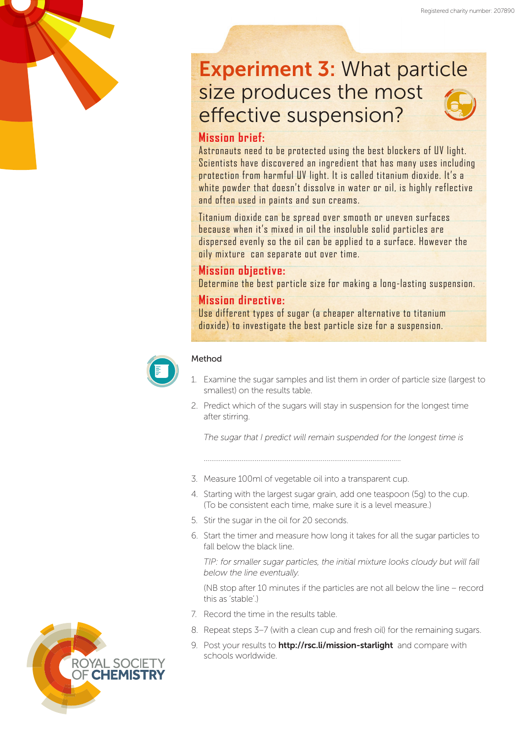# Experiment 3: What particle size produces the most effective suspension?

# **Mission brief:**

Astronauts need to be protected using the best blockers of UV light. Scientists have discovered an ingredient that has many uses including protection from harmful UV light. It is called titanium dioxide. It's a white powder that doesn't dissolve in water or oil, is highly reflective and often used in paints and sun creams.

Titanium dioxide can be spread over smooth or uneven surfaces because when it's mixed in oil the insoluble solid particles are dispersed evenly so the oil can be applied to a surface. However the oily mixture can separate out over time.

## **Mission objective:**

Determine the best particle size for making a long-lasting suspension.

### **Mission directive:**

Use different types of sugar (a cheaper alternative to titanium dioxide) to investigate the best particle size for a suspension.



#### Method

- 1. Examine the sugar samples and list them in order of particle size (largest to smallest) on the results table.
- 2. Predict which of the sugars will stay in suspension for the longest time after stirring.

*The sugar that I predict will remain suspended for the longest time is*

3. Measure 100ml of vegetable oil into a transparent cup.

…………………………………………………...............................................

- 4. Starting with the largest sugar grain, add one teaspoon (5g) to the cup. (To be consistent each time, make sure it is a level measure.)
- 5. Stir the sugar in the oil for 20 seconds.
- 6. Start the timer and measure how long it takes for all the sugar particles to fall below the black line.

*TIP: for smaller sugar particles, the initial mixture looks cloudy but will fall below the line eventually.*

(NB stop after 10 minutes if the particles are not all below the line – record this as 'stable'.)

- 7. Record the time in the results table.
- 8. Repeat steps 3–7 (with a clean cup and fresh oil) for the remaining sugars.
- 9. Post your results to **http://rsc.li/mission-starlight** and compare with schools worldwide.